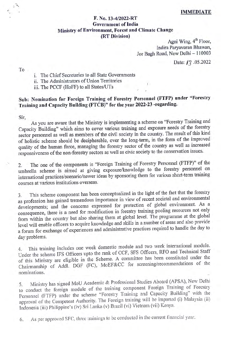#### IMMEDIATE

# F. No. 13-4/2022-RT Government of India Ministry of Environment, Forest and Climate Change

(RT Division)  $\Delta$ gni Wing, 4<sup>th</sup> Floor, Indira Paryavaran Bhawan, Jor Bagh Road, New Delhi - 110003

Date: 13 .05.2022

To

Ä s.

i. The Chief Secretaries to all State Governments

ii. The Administrators of Union Territories

ii. The PCCF (HoFF) to all States/UTs

## Sub: Nomination for Foreign Training of Forestry Personnel (FTFP) under "Forestry Training and Capacity Building (FTCB)" for the year 2022-23 -regarding-

Sir, As you are aware that the Ministry is implementing a scheme on "Forestry Training and Capacity Building" which aims to cover various training and exposure needs of the forestry sector personnel as well as members of the civil society in the country. The result of this kind of holistic scheme should be decipherable, over the long-term, in the form of the improved quality of the human force, managing the forestry sector of the country as well as increased responsiveness of the non-forestry sectors as well as civic society to the conservation issues.

The one of the components is "Foreign Training of Forestry Personnel (FTFP)" of the umbrella scheme is aimed at giving exposure/knowledge to the forestry personnel on international practices/scenario/newer ideas by sponsoring them for various short-term training 2. courses at various institutions overseas.

This scheme component has been conceptualized in the light of the fact that the forestry as profession has gained tremendous importance in view of recent societal and environmental developments; and the concerns expressed for protection of global environment. As a consequence, there is a need for modification in forestry training pooling resources not only from within the country but also sharing them at global level. The programme at the global level will enable officers to acquire knowledge and skills in a number of areas and also provide a forum for exchange of experiences and administrative practices required to handle the day to day problems. 3.

4. This training includes one week domestic module and two week international module. Under the scheme IFS Officers upto the rank of CCF, SFS Officers, RFO and Technical Staff of this Ministry are eligible in the Scheme. A committee has been constituted under the Chairmanship of Addl. DGF (FC), MoEF&CC for screening/recommendations of the nominations.

Ministry has signed MoU Academic & Professional Studies Aboard (APSA), New Delhi 5. Ministry has signed MOO Academic corrections component Foreign Training of Forestry Personnel (FTFP) under the scheme "Forestry Training and Capacity Building" with the approval of the Competent Authority. The Foreign training will be imparted (i) Malaysia (ii) Indonesia (ii) Philippine's (iv) Sri Lanka (v) Brazil (vi) Vietnam (vii) Kenya.

As per approved SFC, three trainings to be conducted in the current financial year. 6.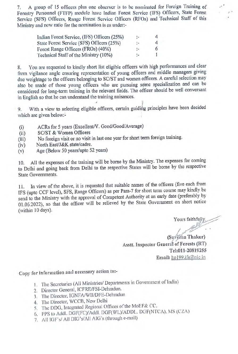7. A group of 15 officers plus one observer is to be nominated for Foreign Training of Forestry Personnel (FTFP) module have Indian Forest Service (IFS) Officers, Slate Forest Service (SFs) Oficers, Range Forest Service Officors (RFOs) and Technical Staff of this Ministry and now ratio for the nomination is as under:

| Indian Forest Service, (IFS) Officers (25%) | de l          | 4                |
|---------------------------------------------|---------------|------------------|
| State Forest Service (SFS) Officers (25%)   | ÷.            | $\boldsymbol{a}$ |
| Forest Range Officers (FROs) (40%)          | $\frac{1}{2}$ |                  |
| Technical Staff of the Ministry (10%)       | $\cdot$ -     |                  |

8. You are requested to kindly short list eligible officers with high performances and clear from vigilance angle cnsuring representation of young officers and middle managers giving due weightage to the officers belonging to SC/ST and women officers. A careful selection may also be made of those young officers who are pursuing some specialization and can be considered for long-term training in the relevant fields. The officer should be well conversant in English so that he can understand the training nuisances.

9. With a view to selecting eligible officers, certain guiding principles have been decided which are given below:-

- ACRs for 5 years (Excellent/V. Good/Good/Average)
- (i) ACRs for 5 years (Exceller<br>
(ii) SC/ST & Women Officers (ii)
- (ii) No foreign visit or no visit in last one year for short term foreign training.
- (iv) North East/J&K state/cadre.
- (v) Age (Below 50 years/upto 52 years)

10. All the expenses of the training will be borne by the Ministry. The expenses for coming to Delhi and going back from Delhi to the respective States will be borne by the respective State Governments.

11. In view of the above, it is requested that suitable names of the officers (five each from IFS (upto CCF level), SFS, Range Officers) as per Para-7 for short term course may kindly be send to the Ministry with the approval of Competent Authority at an early date (preferably by 01.06.2022), so that the officer will be relieved by the State Government on short notice (within 10 days).

Yours faithfully,

(Suveena Thakur) Asstt. Inspector Generál of Forests (RT) Tel:011-20819255 Email: hp199.ifs@nic.in

Copy for information and necessary action to:-

- 1. The Secretaries (All Ministries/ Departments in Government of India)
- 2. Director General, ICFRE/FSI-Dehradun.
- 3. The Director, IGNFA/WII/DFE-Dehradun
- 4. The Director, WCCB, New Delhi
- 5. The DDG, Integrated Regional Offices of the MoEF& CC.
- 6. PPS to Addl. DGF(FC)/Addl. DGF(WL)/ADDL. DGF(NTCA), MS (CZA)
- 7. All IGF's/ All DIG's/All AIG's (through e-mail)